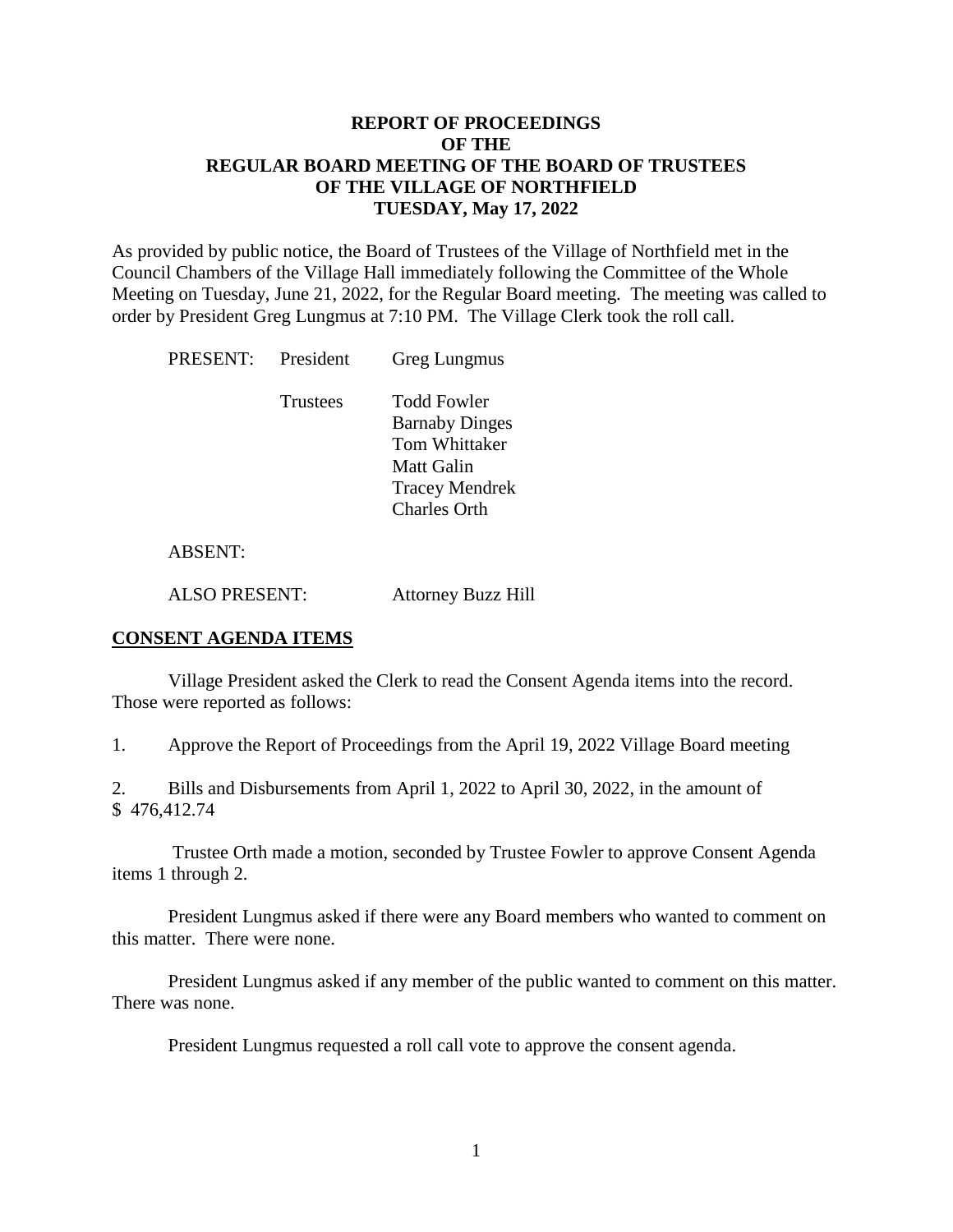# **REPORT OF PROCEEDINGS OF THE REGULAR BOARD MEETING OF THE BOARD OF TRUSTEES OF THE VILLAGE OF NORTHFIELD TUESDAY, May 17, 2022**

As provided by public notice, the Board of Trustees of the Village of Northfield met in the Council Chambers of the Village Hall immediately following the Committee of the Whole Meeting on Tuesday, June 21, 2022, for the Regular Board meeting. The meeting was called to order by President Greg Lungmus at 7:10 PM. The Village Clerk took the roll call.

| PRESENT: | President       | Greg Lungmus                                                                                                                      |
|----------|-----------------|-----------------------------------------------------------------------------------------------------------------------------------|
|          | <b>Trustees</b> | <b>Todd Fowler</b><br><b>Barnaby Dinges</b><br><b>Tom Whittaker</b><br>Matt Galin<br><b>Tracey Mendrek</b><br><b>Charles Orth</b> |
|          |                 |                                                                                                                                   |

### ABSENT:

ALSO PRESENT: Attorney Buzz Hill

### **CONSENT AGENDA ITEMS**

Village President asked the Clerk to read the Consent Agenda items into the record. Those were reported as follows:

1. Approve the Report of Proceedings from the April 19, 2022 Village Board meeting

2. Bills and Disbursements from April 1, 2022 to April 30, 2022, in the amount of \$ 476,412.74

Trustee Orth made a motion, seconded by Trustee Fowler to approve Consent Agenda items 1 through 2.

President Lungmus asked if there were any Board members who wanted to comment on this matter. There were none.

President Lungmus asked if any member of the public wanted to comment on this matter. There was none.

President Lungmus requested a roll call vote to approve the consent agenda.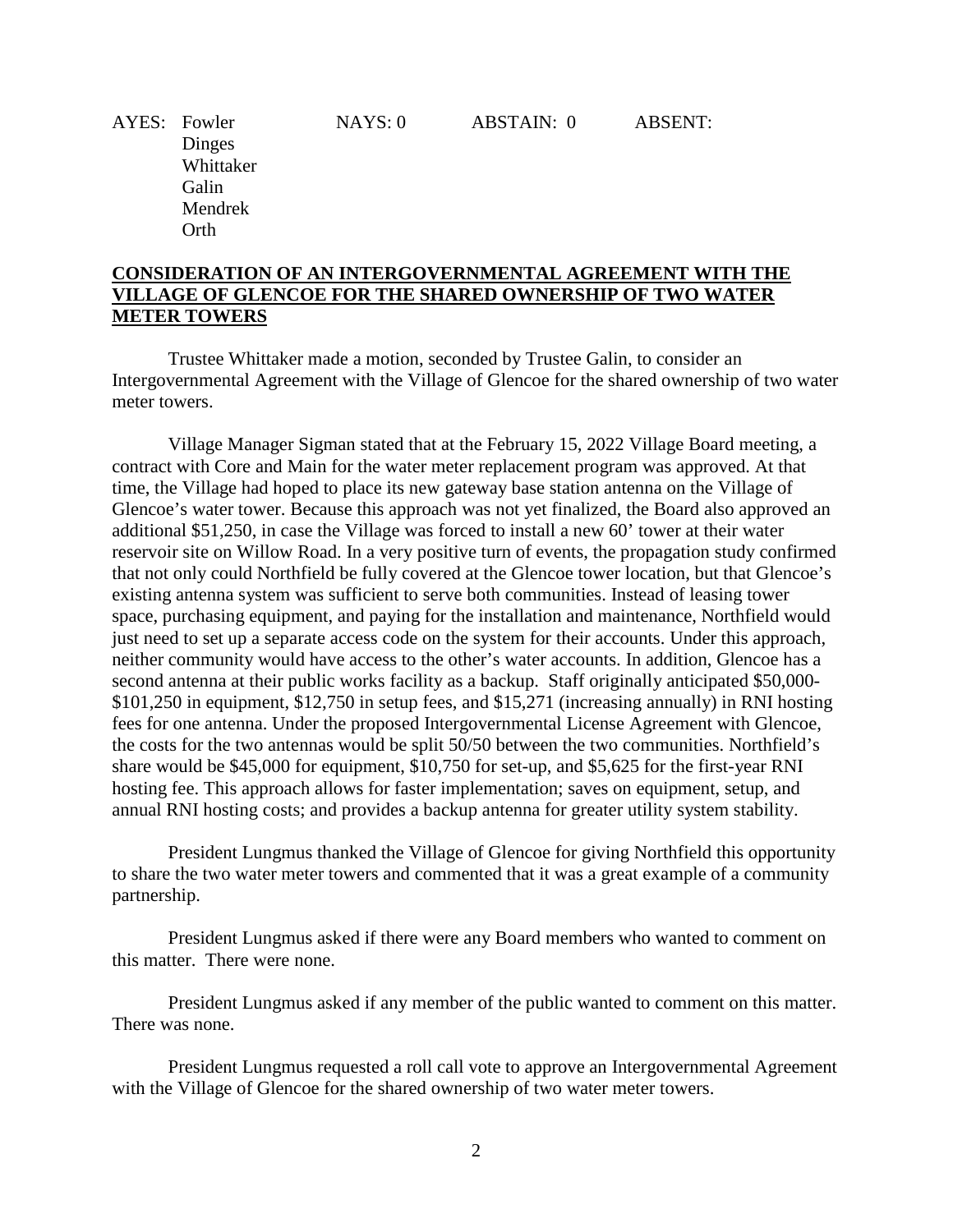AYES: Fowler NAYS: 0 ABSTAIN: 0 ABSENT:

 Dinges Whittaker Galin Mendrek Orth

# **CONSIDERATION OF AN INTERGOVERNMENTAL AGREEMENT WITH THE VILLAGE OF GLENCOE FOR THE SHARED OWNERSHIP OF TWO WATER METER TOWERS**

Trustee Whittaker made a motion, seconded by Trustee Galin, to consider an Intergovernmental Agreement with the Village of Glencoe for the shared ownership of two water meter towers.

Village Manager Sigman stated that at the February 15, 2022 Village Board meeting, a contract with Core and Main for the water meter replacement program was approved. At that time, the Village had hoped to place its new gateway base station antenna on the Village of Glencoe's water tower. Because this approach was not yet finalized, the Board also approved an additional \$51,250, in case the Village was forced to install a new 60' tower at their water reservoir site on Willow Road. In a very positive turn of events, the propagation study confirmed that not only could Northfield be fully covered at the Glencoe tower location, but that Glencoe's existing antenna system was sufficient to serve both communities. Instead of leasing tower space, purchasing equipment, and paying for the installation and maintenance, Northfield would just need to set up a separate access code on the system for their accounts. Under this approach, neither community would have access to the other's water accounts. In addition, Glencoe has a second antenna at their public works facility as a backup. Staff originally anticipated \$50,000- \$101,250 in equipment, \$12,750 in setup fees, and \$15,271 (increasing annually) in RNI hosting fees for one antenna. Under the proposed Intergovernmental License Agreement with Glencoe, the costs for the two antennas would be split 50/50 between the two communities. Northfield's share would be \$45,000 for equipment, \$10,750 for set-up, and \$5,625 for the first-year RNI hosting fee. This approach allows for faster implementation; saves on equipment, setup, and annual RNI hosting costs; and provides a backup antenna for greater utility system stability.

President Lungmus thanked the Village of Glencoe for giving Northfield this opportunity to share the two water meter towers and commented that it was a great example of a community partnership.

President Lungmus asked if there were any Board members who wanted to comment on this matter. There were none.

President Lungmus asked if any member of the public wanted to comment on this matter. There was none.

President Lungmus requested a roll call vote to approve an Intergovernmental Agreement with the Village of Glencoe for the shared ownership of two water meter towers.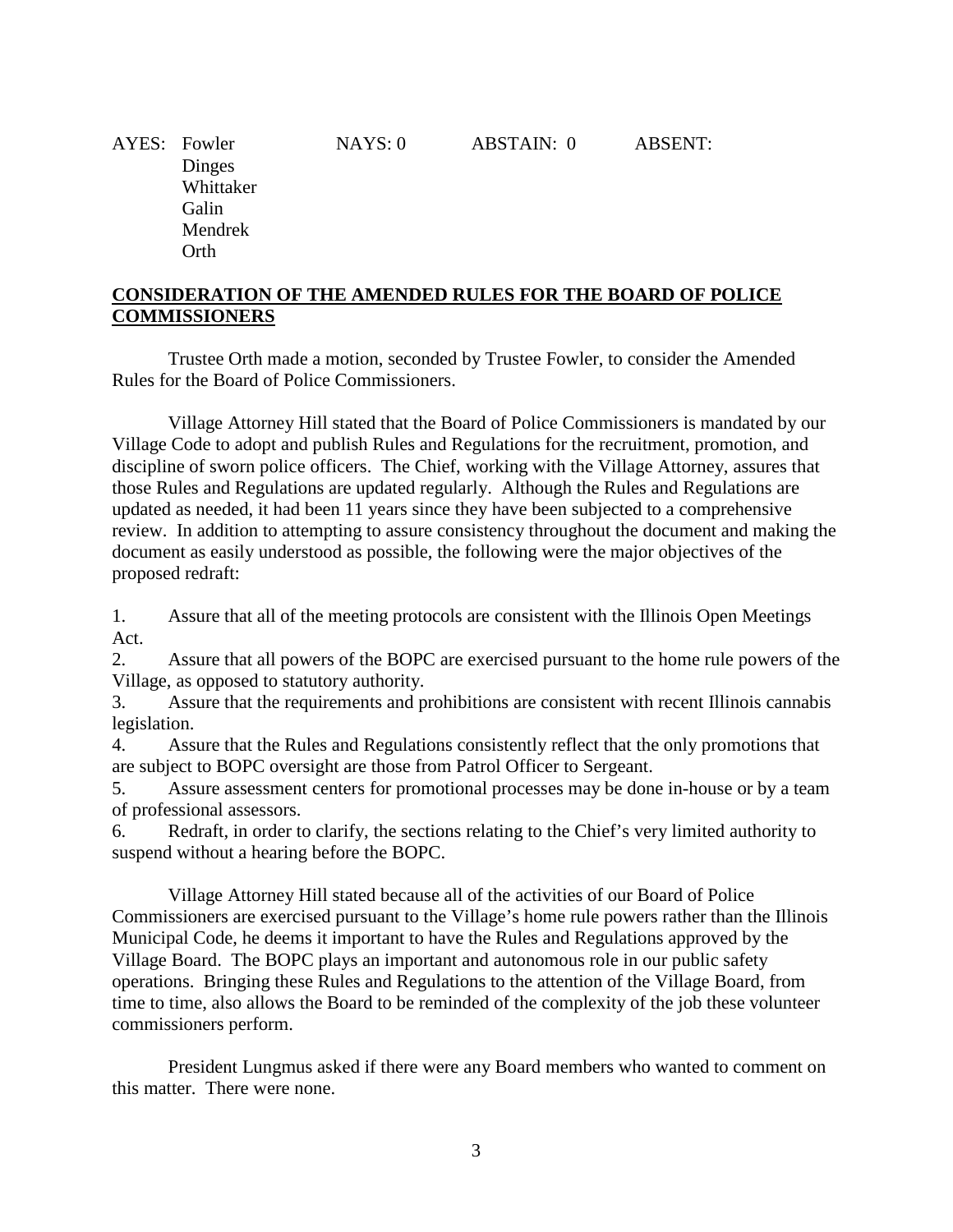AYES: Fowler NAYS: 0 ABSTAIN: 0 ABSENT: Dinges Whittaker Galin Mendrek Orth

# **CONSIDERATION OF THE AMENDED RULES FOR THE BOARD OF POLICE COMMISSIONERS**

Trustee Orth made a motion, seconded by Trustee Fowler, to consider the Amended Rules for the Board of Police Commissioners.

Village Attorney Hill stated that the Board of Police Commissioners is mandated by our Village Code to adopt and publish Rules and Regulations for the recruitment, promotion, and discipline of sworn police officers. The Chief, working with the Village Attorney, assures that those Rules and Regulations are updated regularly. Although the Rules and Regulations are updated as needed, it had been 11 years since they have been subjected to a comprehensive review. In addition to attempting to assure consistency throughout the document and making the document as easily understood as possible, the following were the major objectives of the proposed redraft:

1. Assure that all of the meeting protocols are consistent with the Illinois Open Meetings Act.

2. Assure that all powers of the BOPC are exercised pursuant to the home rule powers of the Village, as opposed to statutory authority.

3. Assure that the requirements and prohibitions are consistent with recent Illinois cannabis legislation.

4. Assure that the Rules and Regulations consistently reflect that the only promotions that are subject to BOPC oversight are those from Patrol Officer to Sergeant.

5. Assure assessment centers for promotional processes may be done in-house or by a team of professional assessors.

6. Redraft, in order to clarify, the sections relating to the Chief's very limited authority to suspend without a hearing before the BOPC.

Village Attorney Hill stated because all of the activities of our Board of Police Commissioners are exercised pursuant to the Village's home rule powers rather than the Illinois Municipal Code, he deems it important to have the Rules and Regulations approved by the Village Board. The BOPC plays an important and autonomous role in our public safety operations. Bringing these Rules and Regulations to the attention of the Village Board, from time to time, also allows the Board to be reminded of the complexity of the job these volunteer commissioners perform.

President Lungmus asked if there were any Board members who wanted to comment on this matter. There were none.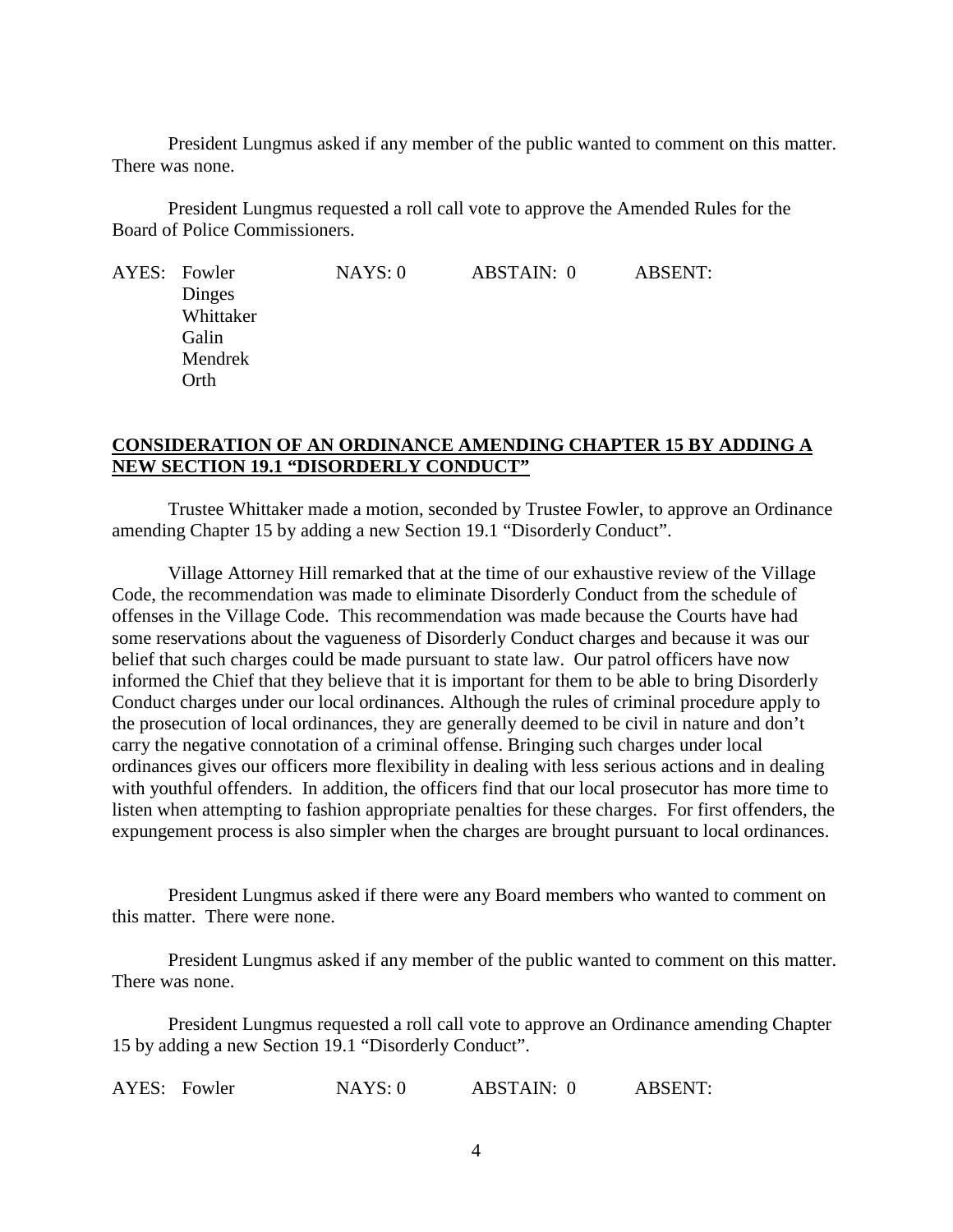President Lungmus asked if any member of the public wanted to comment on this matter. There was none.

President Lungmus requested a roll call vote to approve the Amended Rules for the Board of Police Commissioners.

| AYES: Fowler | NAYS:0 | ABSTAIN: 0 | <b>ABSENT:</b> |
|--------------|--------|------------|----------------|
| Dinges       |        |            |                |
| Whittaker    |        |            |                |
| Galin        |        |            |                |
| Mendrek      |        |            |                |
| Orth         |        |            |                |

## **CONSIDERATION OF AN ORDINANCE AMENDING CHAPTER 15 BY ADDING A NEW SECTION 19.1 "DISORDERLY CONDUCT"**

Trustee Whittaker made a motion, seconded by Trustee Fowler, to approve an Ordinance amending Chapter 15 by adding a new Section 19.1 "Disorderly Conduct".

Village Attorney Hill remarked that at the time of our exhaustive review of the Village Code, the recommendation was made to eliminate Disorderly Conduct from the schedule of offenses in the Village Code. This recommendation was made because the Courts have had some reservations about the vagueness of Disorderly Conduct charges and because it was our belief that such charges could be made pursuant to state law. Our patrol officers have now informed the Chief that they believe that it is important for them to be able to bring Disorderly Conduct charges under our local ordinances. Although the rules of criminal procedure apply to the prosecution of local ordinances, they are generally deemed to be civil in nature and don't carry the negative connotation of a criminal offense. Bringing such charges under local ordinances gives our officers more flexibility in dealing with less serious actions and in dealing with youthful offenders. In addition, the officers find that our local prosecutor has more time to listen when attempting to fashion appropriate penalties for these charges. For first offenders, the expungement process is also simpler when the charges are brought pursuant to local ordinances.

President Lungmus asked if there were any Board members who wanted to comment on this matter. There were none.

President Lungmus asked if any member of the public wanted to comment on this matter. There was none.

President Lungmus requested a roll call vote to approve an Ordinance amending Chapter 15 by adding a new Section 19.1 "Disorderly Conduct".

AYES: Fowler **NAYS: 0** ABSTAIN: 0 ABSENT: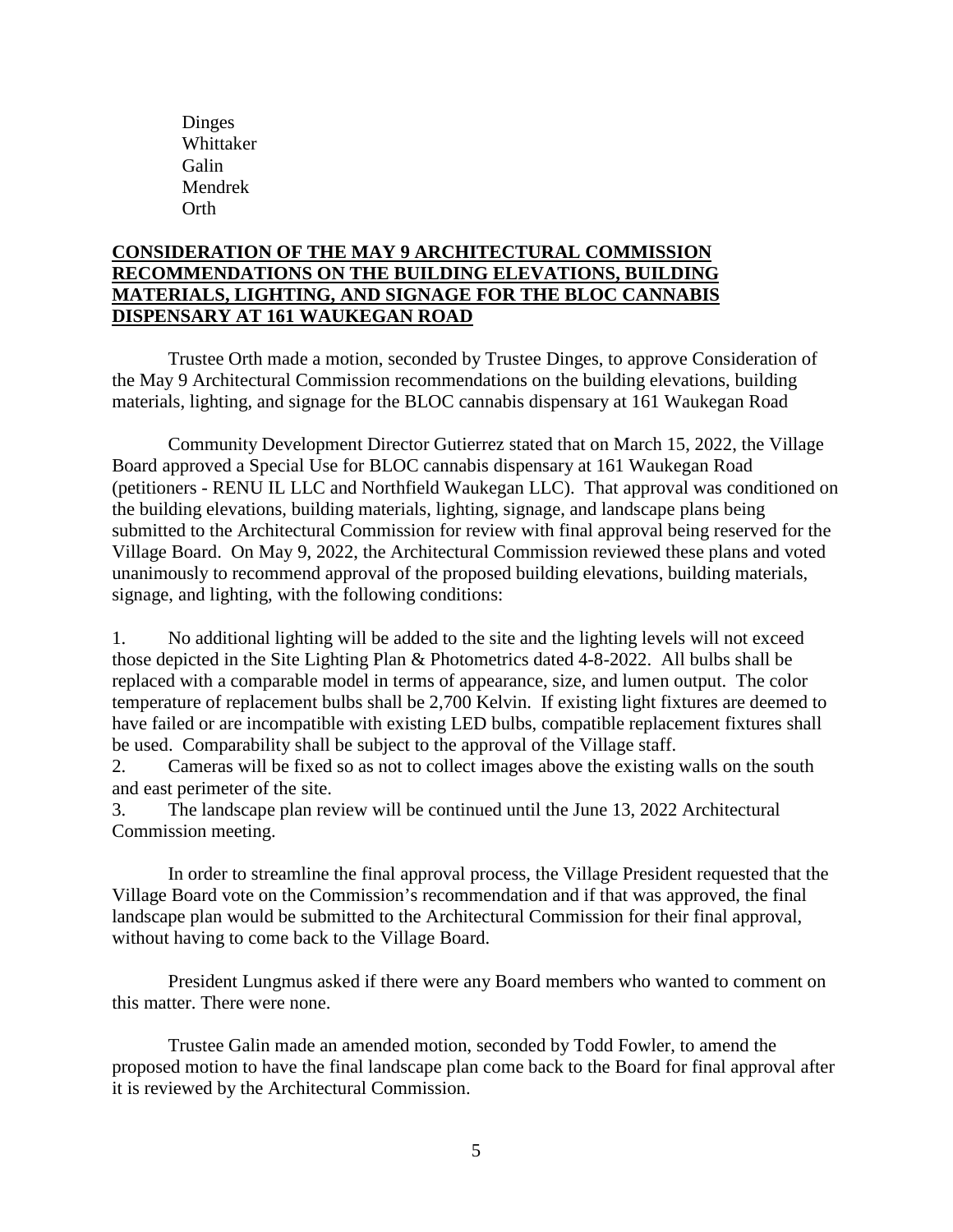Dinges Whittaker Galin Mendrek Orth

# **CONSIDERATION OF THE MAY 9 ARCHITECTURAL COMMISSION RECOMMENDATIONS ON THE BUILDING ELEVATIONS, BUILDING MATERIALS, LIGHTING, AND SIGNAGE FOR THE BLOC CANNABIS DISPENSARY AT 161 WAUKEGAN ROAD**

Trustee Orth made a motion, seconded by Trustee Dinges, to approve Consideration of the May 9 Architectural Commission recommendations on the building elevations, building materials, lighting, and signage for the BLOC cannabis dispensary at 161 Waukegan Road

Community Development Director Gutierrez stated that on March 15, 2022, the Village Board approved a Special Use for BLOC cannabis dispensary at 161 Waukegan Road (petitioners - RENU IL LLC and Northfield Waukegan LLC). That approval was conditioned on the building elevations, building materials, lighting, signage, and landscape plans being submitted to the Architectural Commission for review with final approval being reserved for the Village Board. On May 9, 2022, the Architectural Commission reviewed these plans and voted unanimously to recommend approval of the proposed building elevations, building materials, signage, and lighting, with the following conditions:

1. No additional lighting will be added to the site and the lighting levels will not exceed those depicted in the Site Lighting Plan & Photometrics dated 4-8-2022. All bulbs shall be replaced with a comparable model in terms of appearance, size, and lumen output. The color temperature of replacement bulbs shall be 2,700 Kelvin. If existing light fixtures are deemed to have failed or are incompatible with existing LED bulbs, compatible replacement fixtures shall be used. Comparability shall be subject to the approval of the Village staff.

2. Cameras will be fixed so as not to collect images above the existing walls on the south and east perimeter of the site.

3. The landscape plan review will be continued until the June 13, 2022 Architectural Commission meeting.

In order to streamline the final approval process, the Village President requested that the Village Board vote on the Commission's recommendation and if that was approved, the final landscape plan would be submitted to the Architectural Commission for their final approval, without having to come back to the Village Board.

President Lungmus asked if there were any Board members who wanted to comment on this matter. There were none.

Trustee Galin made an amended motion, seconded by Todd Fowler, to amend the proposed motion to have the final landscape plan come back to the Board for final approval after it is reviewed by the Architectural Commission.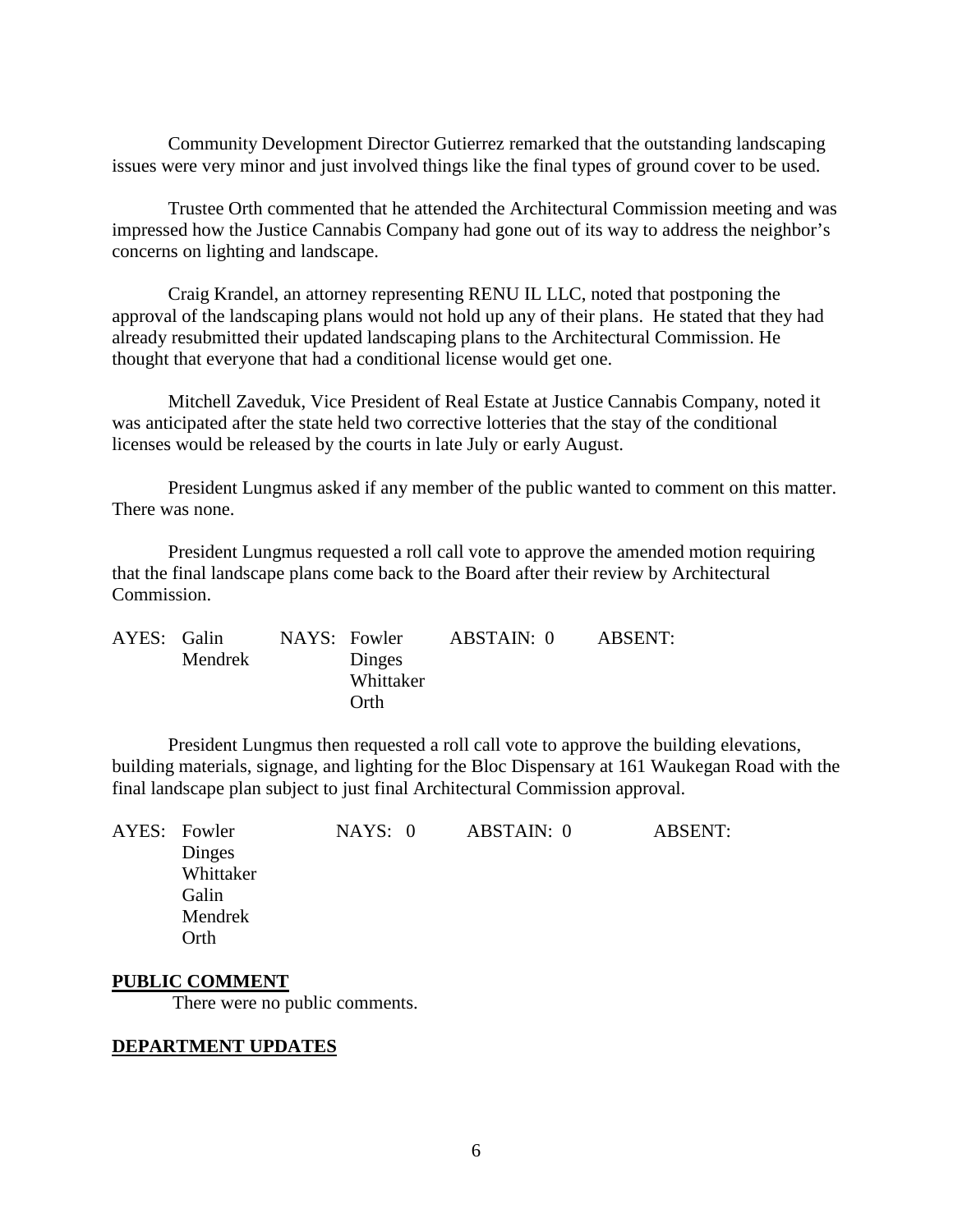Community Development Director Gutierrez remarked that the outstanding landscaping issues were very minor and just involved things like the final types of ground cover to be used.

Trustee Orth commented that he attended the Architectural Commission meeting and was impressed how the Justice Cannabis Company had gone out of its way to address the neighbor's concerns on lighting and landscape.

Craig Krandel, an attorney representing RENU IL LLC, noted that postponing the approval of the landscaping plans would not hold up any of their plans. He stated that they had already resubmitted their updated landscaping plans to the Architectural Commission. He thought that everyone that had a conditional license would get one.

Mitchell Zaveduk, Vice President of Real Estate at Justice Cannabis Company, noted it was anticipated after the state held two corrective lotteries that the stay of the conditional licenses would be released by the courts in late July or early August.

President Lungmus asked if any member of the public wanted to comment on this matter. There was none.

President Lungmus requested a roll call vote to approve the amended motion requiring that the final landscape plans come back to the Board after their review by Architectural Commission.

| AYES: Galin |         | NAYS: Fowler |           | ABSTAIN: 0 | ABSENT: |
|-------------|---------|--------------|-----------|------------|---------|
|             | Mendrek |              | Dinges    |            |         |
|             |         |              | Whittaker |            |         |
|             |         |              | Orth      |            |         |

President Lungmus then requested a roll call vote to approve the building elevations, building materials, signage, and lighting for the Bloc Dispensary at 161 Waukegan Road with the final landscape plan subject to just final Architectural Commission approval.

| AYES: Fowler | NAYS: 0 | ABSTAIN: 0 | <b>ABSENT:</b> |
|--------------|---------|------------|----------------|
| Dinges       |         |            |                |
| Whittaker    |         |            |                |
| Galin        |         |            |                |
| Mendrek      |         |            |                |
| Orth         |         |            |                |
|              |         |            |                |

#### **PUBLIC COMMENT**

There were no public comments.

#### **DEPARTMENT UPDATES**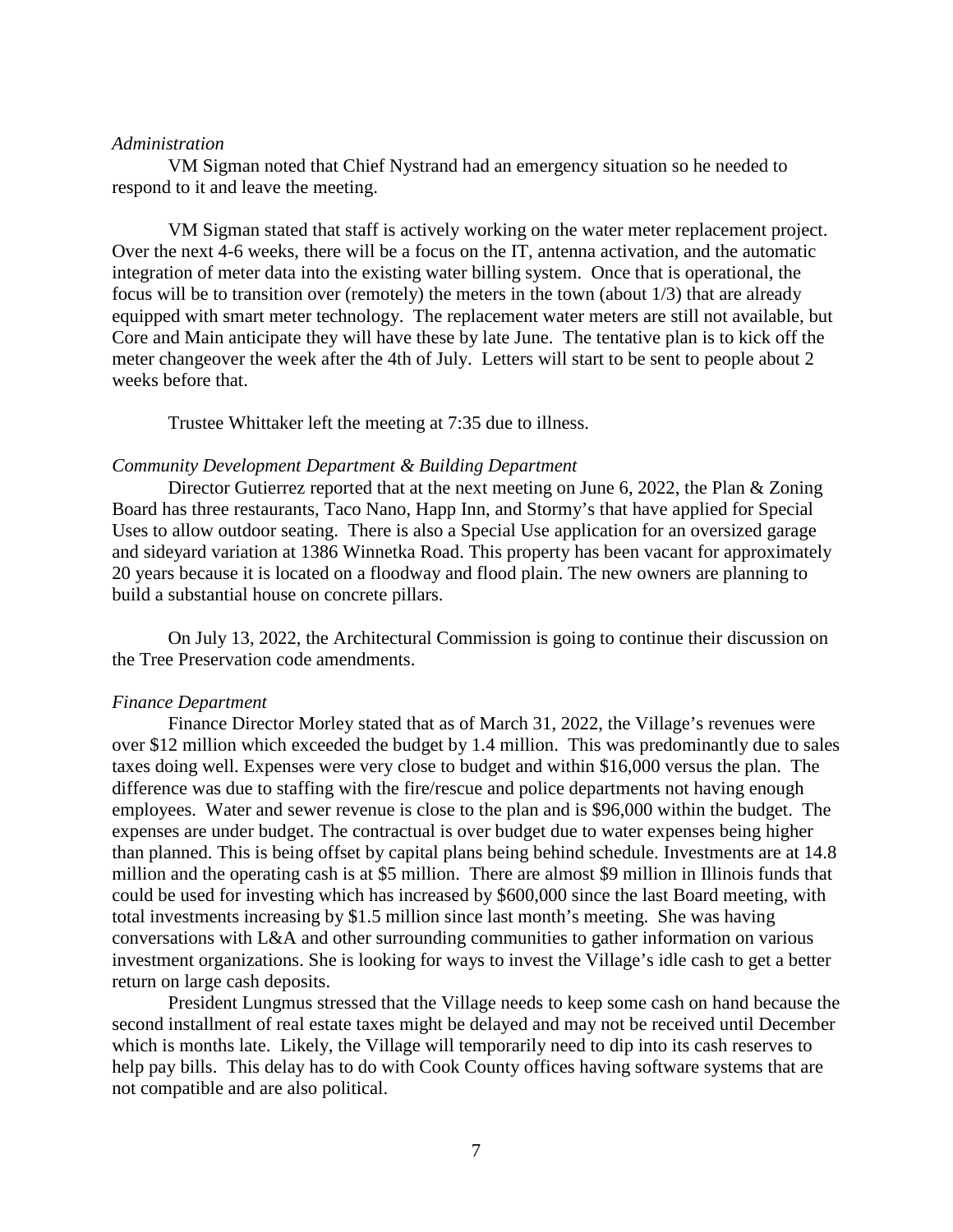### *Administration*

VM Sigman noted that Chief Nystrand had an emergency situation so he needed to respond to it and leave the meeting.

VM Sigman stated that staff is actively working on the water meter replacement project. Over the next 4-6 weeks, there will be a focus on the IT, antenna activation, and the automatic integration of meter data into the existing water billing system. Once that is operational, the focus will be to transition over (remotely) the meters in the town (about 1/3) that are already equipped with smart meter technology. The replacement water meters are still not available, but Core and Main anticipate they will have these by late June. The tentative plan is to kick off the meter changeover the week after the 4th of July. Letters will start to be sent to people about 2 weeks before that.

Trustee Whittaker left the meeting at 7:35 due to illness.

## *Community Development Department & Building Department*

Director Gutierrez reported that at the next meeting on June 6, 2022, the Plan & Zoning Board has three restaurants, Taco Nano, Happ Inn, and Stormy's that have applied for Special Uses to allow outdoor seating. There is also a Special Use application for an oversized garage and sideyard variation at 1386 Winnetka Road. This property has been vacant for approximately 20 years because it is located on a floodway and flood plain. The new owners are planning to build a substantial house on concrete pillars.

On July 13, 2022, the Architectural Commission is going to continue their discussion on the Tree Preservation code amendments.

### *Finance Department*

Finance Director Morley stated that as of March 31, 2022, the Village's revenues were over \$12 million which exceeded the budget by 1.4 million. This was predominantly due to sales taxes doing well. Expenses were very close to budget and within \$16,000 versus the plan. The difference was due to staffing with the fire/rescue and police departments not having enough employees. Water and sewer revenue is close to the plan and is \$96,000 within the budget. The expenses are under budget. The contractual is over budget due to water expenses being higher than planned. This is being offset by capital plans being behind schedule. Investments are at 14.8 million and the operating cash is at \$5 million. There are almost \$9 million in Illinois funds that could be used for investing which has increased by \$600,000 since the last Board meeting, with total investments increasing by \$1.5 million since last month's meeting. She was having conversations with L&A and other surrounding communities to gather information on various investment organizations. She is looking for ways to invest the Village's idle cash to get a better return on large cash deposits.

President Lungmus stressed that the Village needs to keep some cash on hand because the second installment of real estate taxes might be delayed and may not be received until December which is months late. Likely, the Village will temporarily need to dip into its cash reserves to help pay bills. This delay has to do with Cook County offices having software systems that are not compatible and are also political.